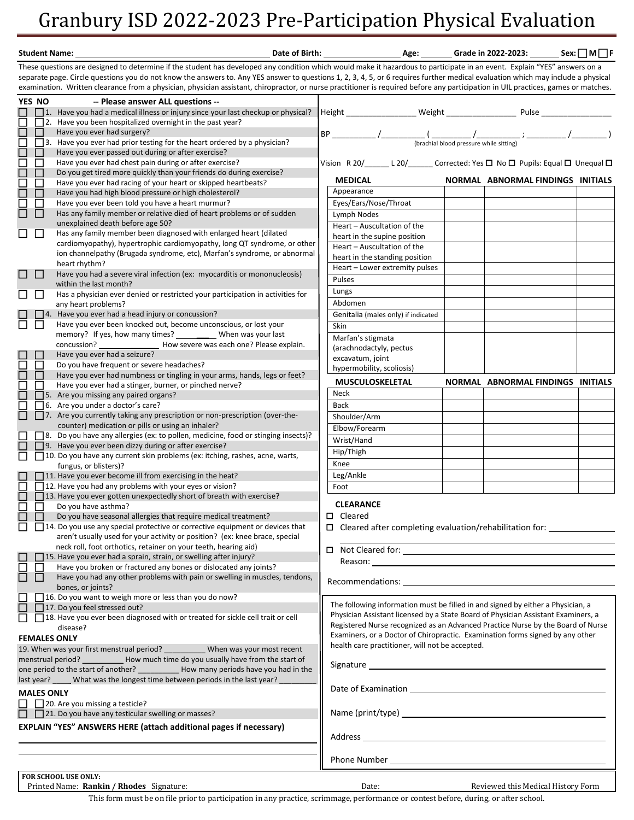## Granbury ISD 2022-2023 Pre-Participation Physical Evaluation

| Date of Birth:<br><b>Student Name:</b>                                                                                                                                    |                   |                                                                                                                                                                                    |  |                                                                                                                                                                                                                                | _ Age: ________ Grade in 2022-2023: _______ Sex: □ M □ F |  |
|---------------------------------------------------------------------------------------------------------------------------------------------------------------------------|-------------------|------------------------------------------------------------------------------------------------------------------------------------------------------------------------------------|--|--------------------------------------------------------------------------------------------------------------------------------------------------------------------------------------------------------------------------------|----------------------------------------------------------|--|
| These questions are designed to determine if the student has developed any condition which would make it hazardous to participate in an event. Explain "YES" answers on a |                   |                                                                                                                                                                                    |  |                                                                                                                                                                                                                                |                                                          |  |
|                                                                                                                                                                           |                   | separate page. Circle questions you do not know the answers to. Any YES answer to questions 1, 2, 3, 4, 5, or 6 requires further medical evaluation which may include a physical   |  |                                                                                                                                                                                                                                |                                                          |  |
|                                                                                                                                                                           |                   | examination. Written clearance from a physician, physician assistant, chiropractor, or nurse practitioner is required before any participation in UIL practices, games or matches. |  |                                                                                                                                                                                                                                |                                                          |  |
|                                                                                                                                                                           | YES NO            | -- Please answer ALL questions --                                                                                                                                                  |  |                                                                                                                                                                                                                                |                                                          |  |
|                                                                                                                                                                           |                   | $\Box$ 1. Have you had a medical illness or injury since your last checkup or physical?                                                                                            |  | Height ____________________ Weight ______________________ Pulse _____                                                                                                                                                          |                                                          |  |
| П                                                                                                                                                                         |                   | $\Box$ 2. Have you been hospitalized overnight in the past year?                                                                                                                   |  |                                                                                                                                                                                                                                |                                                          |  |
| $\Box$                                                                                                                                                                    | П                 | Have you ever had surgery?                                                                                                                                                         |  |                                                                                                                                                                                                                                |                                                          |  |
| $\boxminus$                                                                                                                                                               |                   | $\Box$ 3. Have you ever had prior testing for the heart ordered by a physician?                                                                                                    |  | $\textsf{BP}\_\_\_\_\_\_\_\_/$                                                                                                                                                                                                 |                                                          |  |
|                                                                                                                                                                           | ΙI                | Have you ever passed out during or after exercise?                                                                                                                                 |  |                                                                                                                                                                                                                                |                                                          |  |
|                                                                                                                                                                           | ΙI                | Have you ever had chest pain during or after exercise?                                                                                                                             |  | Vision R 20/_______L 20/________ Corrected: Yes $\square$ No $\square$ Pupils: Equal $\square$ Unequal $\square$                                                                                                               |                                                          |  |
| 88<br>88                                                                                                                                                                  | □                 | Do you get tired more quickly than your friends do during exercise?                                                                                                                |  |                                                                                                                                                                                                                                |                                                          |  |
|                                                                                                                                                                           | □                 | Have you ever had racing of your heart or skipped heartbeats?                                                                                                                      |  | <b>MEDICAL</b>                                                                                                                                                                                                                 | NORMAL ABNORMAL FINDINGS INITIALS                        |  |
|                                                                                                                                                                           | П                 | Have you had high blood pressure or high cholesterol?                                                                                                                              |  | Appearance                                                                                                                                                                                                                     |                                                          |  |
| $\Box$                                                                                                                                                                    | П                 | Have you ever been told you have a heart murmur?                                                                                                                                   |  | Eyes/Ears/Nose/Throat                                                                                                                                                                                                          |                                                          |  |
| $\Box$                                                                                                                                                                    | H                 | Has any family member or relative died of heart problems or of sudden                                                                                                              |  | Lymph Nodes                                                                                                                                                                                                                    |                                                          |  |
|                                                                                                                                                                           |                   | unexplained death before age 50?                                                                                                                                                   |  | Heart - Auscultation of the                                                                                                                                                                                                    |                                                          |  |
| $\Box$                                                                                                                                                                    | $\Box$            | Has any family member been diagnosed with enlarged heart (dilated                                                                                                                  |  | heart in the supine position                                                                                                                                                                                                   |                                                          |  |
|                                                                                                                                                                           |                   | cardiomyopathy), hypertrophic cardiomyopathy, long QT syndrome, or other                                                                                                           |  | Heart - Auscultation of the                                                                                                                                                                                                    |                                                          |  |
|                                                                                                                                                                           |                   | ion channelpathy (Brugada syndrome, etc), Marfan's syndrome, or abnormal                                                                                                           |  | heart in the standing position                                                                                                                                                                                                 |                                                          |  |
|                                                                                                                                                                           |                   | heart rhythm?<br>Have you had a severe viral infection (ex: myocarditis or mononucleosis)                                                                                          |  | Heart - Lower extremity pulses                                                                                                                                                                                                 |                                                          |  |
| $\Box$                                                                                                                                                                    | $\Box$            | within the last month?                                                                                                                                                             |  | Pulses                                                                                                                                                                                                                         |                                                          |  |
|                                                                                                                                                                           | $\mathbf{L}$      | Has a physician ever denied or restricted your participation in activities for                                                                                                     |  | Lungs                                                                                                                                                                                                                          |                                                          |  |
| ப                                                                                                                                                                         |                   | any heart problems?                                                                                                                                                                |  | Abdomen                                                                                                                                                                                                                        |                                                          |  |
|                                                                                                                                                                           |                   | $\Box$ 4. Have you ever had a head injury or concussion?                                                                                                                           |  | Genitalia (males only) if indicated                                                                                                                                                                                            |                                                          |  |
| 帀                                                                                                                                                                         | l l               | Have you ever been knocked out, become unconscious, or lost your                                                                                                                   |  | Skin                                                                                                                                                                                                                           |                                                          |  |
|                                                                                                                                                                           |                   | memory? If yes, how many times? ____________ When was your last                                                                                                                    |  |                                                                                                                                                                                                                                |                                                          |  |
|                                                                                                                                                                           |                   |                                                                                                                                                                                    |  | Marfan's stigmata                                                                                                                                                                                                              |                                                          |  |
|                                                                                                                                                                           |                   | Have you ever had a seizure?                                                                                                                                                       |  | (arachnodactyly, pectus                                                                                                                                                                                                        |                                                          |  |
| E                                                                                                                                                                         | $\Box$            | Do you have frequent or severe headaches?                                                                                                                                          |  | excavatum, joint                                                                                                                                                                                                               |                                                          |  |
| $\Box$                                                                                                                                                                    | П                 | Have you ever had numbness or tingling in your arms, hands, legs or feet?                                                                                                          |  | hypermobility, scoliosis)                                                                                                                                                                                                      |                                                          |  |
| ⊏                                                                                                                                                                         | ΙI                | Have you ever had a stinger, burner, or pinched nerve?                                                                                                                             |  | <b>MUSCULOSKELETAL</b>                                                                                                                                                                                                         | NORMAL ABNORMAL FINDINGS INITIALS                        |  |
| $\Box$                                                                                                                                                                    |                   | $\Box$ 5. Are you missing any paired organs?                                                                                                                                       |  | Neck                                                                                                                                                                                                                           |                                                          |  |
| $\Box$                                                                                                                                                                    |                   | □ 6. Are you under a doctor's care?                                                                                                                                                |  | Back                                                                                                                                                                                                                           |                                                          |  |
|                                                                                                                                                                           |                   | $\Box$ 7. Are you currently taking any prescription or non-prescription (over-the-                                                                                                 |  | Shoulder/Arm                                                                                                                                                                                                                   |                                                          |  |
|                                                                                                                                                                           |                   | counter) medication or pills or using an inhaler?                                                                                                                                  |  | Elbow/Forearm                                                                                                                                                                                                                  |                                                          |  |
|                                                                                                                                                                           |                   | [8. Do you have any allergies (ex: to pollen, medicine, food or stinging insects)?                                                                                                 |  | Wrist/Hand                                                                                                                                                                                                                     |                                                          |  |
|                                                                                                                                                                           |                   | $\Box$ 9. Have you ever been dizzy during or after exercise?                                                                                                                       |  | Hip/Thigh                                                                                                                                                                                                                      |                                                          |  |
| □                                                                                                                                                                         |                   | 10. Do you have any current skin problems (ex: itching, rashes, acne, warts,                                                                                                       |  |                                                                                                                                                                                                                                |                                                          |  |
|                                                                                                                                                                           |                   | fungus, or blisters)?                                                                                                                                                              |  | Knee                                                                                                                                                                                                                           |                                                          |  |
|                                                                                                                                                                           |                   | $\Box$ 11. Have you ever become ill from exercising in the heat?                                                                                                                   |  | Leg/Ankle                                                                                                                                                                                                                      |                                                          |  |
|                                                                                                                                                                           |                   | 12. Have you had any problems with your eyes or vision?                                                                                                                            |  | Foot                                                                                                                                                                                                                           |                                                          |  |
| $\Box$                                                                                                                                                                    |                   | $\Box$ 13. Have you ever gotten unexpectedly short of breath with exercise?                                                                                                        |  | <b>CLEARANCE</b>                                                                                                                                                                                                               |                                                          |  |
| ◻                                                                                                                                                                         | l 1               | Do you have asthma?<br>Do you have seasonal allergies that require medical treatment?                                                                                              |  | $\Box$<br>Cleared                                                                                                                                                                                                              |                                                          |  |
|                                                                                                                                                                           |                   | $\Box$ 14. Do you use any special protective or corrective equipment or devices that                                                                                               |  |                                                                                                                                                                                                                                |                                                          |  |
|                                                                                                                                                                           |                   | aren't usually used for your activity or position? (ex: knee brace, special                                                                                                        |  | $\Box$ Cleared after completing evaluation/rehabilitation for: $\Box$                                                                                                                                                          |                                                          |  |
|                                                                                                                                                                           |                   | neck roll, foot orthotics, retainer on your teeth, hearing aid)                                                                                                                    |  |                                                                                                                                                                                                                                |                                                          |  |
|                                                                                                                                                                           |                   | $\Box$ 15. Have you ever had a sprain, strain, or swelling after injury?                                                                                                           |  |                                                                                                                                                                                                                                |                                                          |  |
| 亘                                                                                                                                                                         |                   | Have you broken or fractured any bones or dislocated any joints?                                                                                                                   |  | Reason: the contract of the contract of the contract of the contract of the contract of the contract of the contract of the contract of the contract of the contract of the contract of the contract of the contract of the co |                                                          |  |
| $\Box$                                                                                                                                                                    | П                 | Have you had any other problems with pain or swelling in muscles, tendons,                                                                                                         |  |                                                                                                                                                                                                                                |                                                          |  |
|                                                                                                                                                                           |                   | bones, or joints?                                                                                                                                                                  |  |                                                                                                                                                                                                                                |                                                          |  |
|                                                                                                                                                                           |                   | $\Box$ 16. Do you want to weigh more or less than you do now?                                                                                                                      |  |                                                                                                                                                                                                                                |                                                          |  |
|                                                                                                                                                                           |                   | 17. Do you feel stressed out?                                                                                                                                                      |  | The following information must be filled in and signed by either a Physician, a                                                                                                                                                |                                                          |  |
| □                                                                                                                                                                         |                   | 18. Have you ever been diagnosed with or treated for sickle cell trait or cell                                                                                                     |  | Physician Assistant licensed by a State Board of Physician Assistant Examiners, a                                                                                                                                              |                                                          |  |
|                                                                                                                                                                           |                   | disease?                                                                                                                                                                           |  | Registered Nurse recognized as an Advanced Practice Nurse by the Board of Nurse                                                                                                                                                |                                                          |  |
|                                                                                                                                                                           |                   | <b>FEMALES ONLY</b>                                                                                                                                                                |  | Examiners, or a Doctor of Chiropractic. Examination forms signed by any other                                                                                                                                                  |                                                          |  |
|                                                                                                                                                                           |                   | 19. When was your first menstrual period? When was your most recent                                                                                                                |  | health care practitioner, will not be accepted.                                                                                                                                                                                |                                                          |  |
|                                                                                                                                                                           |                   | menstrual period? ____________ How much time do you usually have from the start of                                                                                                 |  |                                                                                                                                                                                                                                |                                                          |  |
|                                                                                                                                                                           |                   | one period to the start of another? _____________ How many periods have you had in the                                                                                             |  |                                                                                                                                                                                                                                |                                                          |  |
|                                                                                                                                                                           |                   | last year? What was the longest time between periods in the last year?                                                                                                             |  |                                                                                                                                                                                                                                |                                                          |  |
|                                                                                                                                                                           | <b>MALES ONLY</b> |                                                                                                                                                                                    |  |                                                                                                                                                                                                                                |                                                          |  |
|                                                                                                                                                                           |                   | 20. Are you missing a testicle?                                                                                                                                                    |  |                                                                                                                                                                                                                                |                                                          |  |
|                                                                                                                                                                           |                   | $\Box$ 21. Do you have any testicular swelling or masses?                                                                                                                          |  |                                                                                                                                                                                                                                |                                                          |  |
|                                                                                                                                                                           |                   | <b>EXPLAIN "YES" ANSWERS HERE (attach additional pages if necessary)</b>                                                                                                           |  |                                                                                                                                                                                                                                |                                                          |  |
|                                                                                                                                                                           |                   |                                                                                                                                                                                    |  |                                                                                                                                                                                                                                |                                                          |  |
|                                                                                                                                                                           |                   |                                                                                                                                                                                    |  |                                                                                                                                                                                                                                |                                                          |  |
|                                                                                                                                                                           |                   |                                                                                                                                                                                    |  |                                                                                                                                                                                                                                |                                                          |  |
|                                                                                                                                                                           |                   |                                                                                                                                                                                    |  |                                                                                                                                                                                                                                |                                                          |  |
|                                                                                                                                                                           |                   | FOR SCHOOL USE ONLY:                                                                                                                                                               |  |                                                                                                                                                                                                                                |                                                          |  |
|                                                                                                                                                                           |                   | Printed Name: Rankin / Rhodes Signature:                                                                                                                                           |  | Date:                                                                                                                                                                                                                          | Reviewed this Medical History Form                       |  |

This form must be on file prior to participation in any practice, scrimmage, performance or contest before, during, or after school.